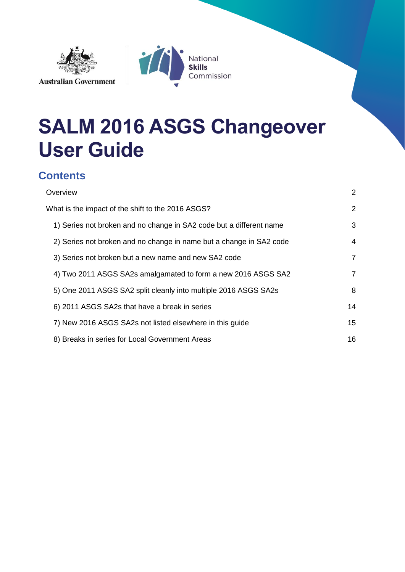



# **SALM 2016 ASGS Changeover User Guide**

# **Contents**

| Overview                                                            | $\overline{2}$ |
|---------------------------------------------------------------------|----------------|
| What is the impact of the shift to the 2016 ASGS?                   | $\overline{2}$ |
| 1) Series not broken and no change in SA2 code but a different name | 3              |
| 2) Series not broken and no change in name but a change in SA2 code | 4              |
| 3) Series not broken but a new name and new SA2 code                | $\overline{7}$ |
| 4) Two 2011 ASGS SA2s amalgamated to form a new 2016 ASGS SA2       | $\overline{7}$ |
| 5) One 2011 ASGS SA2 split cleanly into multiple 2016 ASGS SA2s     | 8              |
| 6) 2011 ASGS SA2s that have a break in series                       | 14             |
| 7) New 2016 ASGS SA2s not listed elsewhere in this guide            | 15             |
| 8) Breaks in series for Local Government Areas                      | 16             |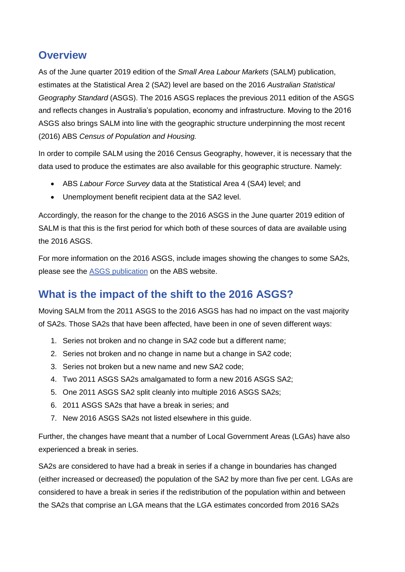## <span id="page-1-0"></span>**Overview**

As of the June quarter 2019 edition of the *Small Area Labour Markets* (SALM) publication, estimates at the Statistical Area 2 (SA2) level are based on the 2016 *Australian Statistical Geography Standard* (ASGS). The 2016 ASGS replaces the previous 2011 edition of the ASGS and reflects changes in Australia's population, economy and infrastructure. Moving to the 2016 ASGS also brings SALM into line with the geographic structure underpinning the most recent (2016) ABS *Census of Population and Housing.* 

In order to compile SALM using the 2016 Census Geography, however, it is necessary that the data used to produce the estimates are also available for this geographic structure. Namely:

- ABS *Labour Force Survey* data at the Statistical Area 4 (SA4) level; and
- Unemployment benefit recipient data at the SA2 level.

Accordingly, the reason for the change to the 2016 ASGS in the June quarter 2019 edition of SALM is that this is the first period for which both of these sources of data are available using the 2016 ASGS.

For more information on the 2016 ASGS, include images showing the changes to some SA2s, please see the [ASGS publication](https://www.abs.gov.au/ausstats/abs@.nsf/mf/1270.0.55.001) on the ABS website.

# <span id="page-1-1"></span>**What is the impact of the shift to the 2016 ASGS?**

Moving SALM from the 2011 ASGS to the 2016 ASGS has had no impact on the vast majority of SA2s. Those SA2s that have been affected, have been in one of seven different ways:

- 1. Series not broken and no change in SA2 code but a different name;
- 2. Series not broken and no change in name but a change in SA2 code;
- 3. Series not broken but a new name and new SA2 code;
- 4. Two 2011 ASGS SA2s amalgamated to form a new 2016 ASGS SA2;
- 5. One 2011 ASGS SA2 split cleanly into multiple 2016 ASGS SA2s;
- 6. 2011 ASGS SA2s that have a break in series; and
- 7. New 2016 ASGS SA2s not listed elsewhere in this guide.

Further, the changes have meant that a number of Local Government Areas (LGAs) have also experienced a break in series.

SA2s are considered to have had a break in series if a change in boundaries has changed (either increased or decreased) the population of the SA2 by more than five per cent. LGAs are considered to have a break in series if the redistribution of the population within and between the SA2s that comprise an LGA means that the LGA estimates concorded from 2016 SA2s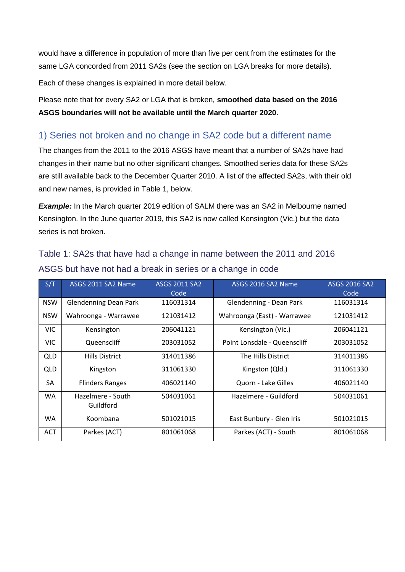would have a difference in population of more than five per cent from the estimates for the same LGA concorded from 2011 SA2s (see the section on LGA breaks for more details).

Each of these changes is explained in more detail below.

Please note that for every SA2 or LGA that is broken, **smoothed data based on the 2016 ASGS boundaries will not be available until the March quarter 2020**.

#### <span id="page-2-0"></span>1) Series not broken and no change in SA2 code but a different name

The changes from the 2011 to the 2016 ASGS have meant that a number of SA2s have had changes in their name but no other significant changes. Smoothed series data for these SA2s are still available back to the December Quarter 2010. A list of the affected SA2s, with their old and new names, is provided in Table 1, below.

**Example:** In the March quarter 2019 edition of SALM there was an SA2 in Melbourne named Kensington. In the June quarter 2019, this SA2 is now called Kensington (Vic.) but the data series is not broken.

# Table 1: SA2s that have had a change in name between the 2011 and 2016 ASGS but have not had a break in series or a change in code

| S/T        | ASGS 2011 SA2 Name             | <b>ASGS 2011 SA2</b><br>Code | ASGS 2016 SA2 Name           | <b>ASGS 2016 SA2</b><br>Code |
|------------|--------------------------------|------------------------------|------------------------------|------------------------------|
| <b>NSW</b> | <b>Glendenning Dean Park</b>   | 116031314                    | Glendenning - Dean Park      | 116031314                    |
| <b>NSW</b> | Wahroonga - Warrawee           | 121031412                    | Wahroonga (East) - Warrawee  | 121031412                    |
| <b>VIC</b> | Kensington                     | 206041121                    | Kensington (Vic.)            | 206041121                    |
| <b>VIC</b> | Queenscliff                    | 203031052                    | Point Lonsdale - Queenscliff | 203031052                    |
| QLD        | <b>Hills District</b>          | 314011386                    | The Hills District           | 314011386                    |
| QLD        | Kingston                       | 311061330                    | Kingston (Qld.)              | 311061330                    |
| SA         | <b>Flinders Ranges</b>         | 406021140                    | Quorn - Lake Gilles          | 406021140                    |
| WA         | Hazelmere - South<br>Guildford | 504031061                    | Hazelmere - Guildford        | 504031061                    |
| WA         | Koombana                       | 501021015                    | East Bunbury - Glen Iris     | 501021015                    |
| <b>ACT</b> | Parkes (ACT)                   | 801061068                    | Parkes (ACT) - South         | 801061068                    |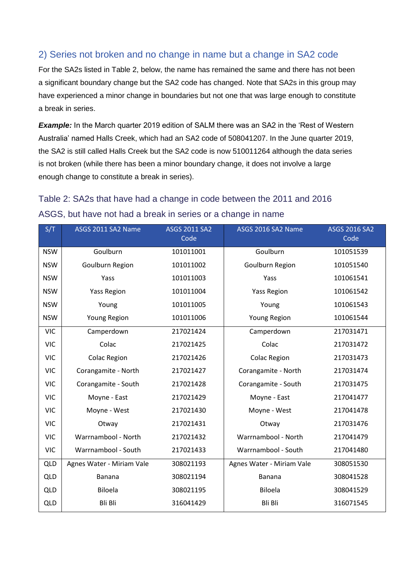### <span id="page-3-0"></span>2) Series not broken and no change in name but a change in SA2 code

For the SA2s listed in Table 2, below, the name has remained the same and there has not been a significant boundary change but the SA2 code has changed. Note that SA2s in this group may have experienced a minor change in boundaries but not one that was large enough to constitute a break in series.

**Example:** In the March quarter 2019 edition of SALM there was an SA2 in the 'Rest of Western Australia' named Halls Creek, which had an SA2 code of 508041207. In the June quarter 2019, the SA2 is still called Halls Creek but the SA2 code is now 510011264 although the data series is not broken (while there has been a minor boundary change, it does not involve a large enough change to constitute a break in series).

# Table 2: SA2s that have had a change in code between the 2011 and 2016 ASGS, but have not had a break in series or a change in name

| S/T        | ASGS 2011 SA2 Name        | <b>ASGS 2011 SA2</b><br>Code | ASGS 2016 SA2 Name        | <b>ASGS 2016 SA2</b><br>Code |
|------------|---------------------------|------------------------------|---------------------------|------------------------------|
| <b>NSW</b> | Goulburn                  | 101011001                    | Goulburn                  | 101051539                    |
| <b>NSW</b> | Goulburn Region           | 101011002                    | Goulburn Region           | 101051540                    |
| <b>NSW</b> | Yass                      | 101011003                    | Yass                      | 101061541                    |
| <b>NSW</b> | <b>Yass Region</b>        | 101011004                    | <b>Yass Region</b>        | 101061542                    |
| <b>NSW</b> | Young                     | 101011005                    | Young                     | 101061543                    |
| <b>NSW</b> | Young Region              | 101011006                    | <b>Young Region</b>       | 101061544                    |
| <b>VIC</b> | Camperdown                | 217021424                    | Camperdown                | 217031471                    |
| <b>VIC</b> | Colac                     | 217021425                    | Colac                     | 217031472                    |
| <b>VIC</b> | <b>Colac Region</b>       | 217021426                    | <b>Colac Region</b>       | 217031473                    |
| <b>VIC</b> | Corangamite - North       | 217021427                    | Corangamite - North       | 217031474                    |
| <b>VIC</b> | Corangamite - South       | 217021428                    | Corangamite - South       | 217031475                    |
| <b>VIC</b> | Moyne - East              | 217021429                    | Moyne - East              | 217041477                    |
| <b>VIC</b> | Moyne - West              | 217021430                    | Moyne - West              | 217041478                    |
| <b>VIC</b> | Otway                     | 217021431                    | Otway                     | 217031476                    |
| <b>VIC</b> | Warrnambool - North       | 217021432                    | Warrnambool - North       | 217041479                    |
| <b>VIC</b> | Warrnambool - South       | 217021433                    | Warrnambool - South       | 217041480                    |
| QLD        | Agnes Water - Miriam Vale | 308021193                    | Agnes Water - Miriam Vale | 308051530                    |
| <b>QLD</b> | <b>Banana</b>             | 308021194                    | Banana                    | 308041528                    |
| QLD        | <b>Biloela</b>            | 308021195                    | Biloela                   | 308041529                    |
| <b>QLD</b> | Bli Bli                   | 316041429                    | Bli Bli                   | 316071545                    |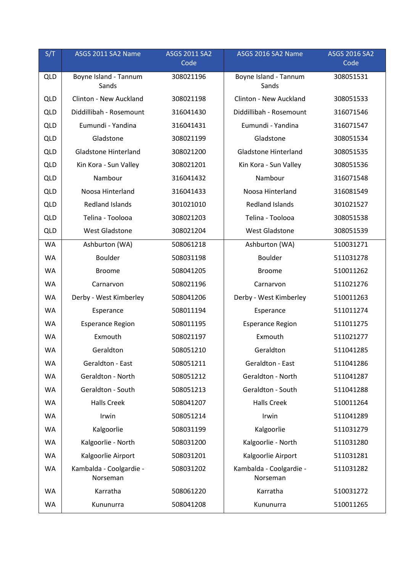| S/T        | ASGS 2011 SA2 Name                  | <b>ASGS 2011 SA2</b><br>Code | ASGS 2016 SA2 Name                  | <b>ASGS 2016 SA2</b><br>Code |
|------------|-------------------------------------|------------------------------|-------------------------------------|------------------------------|
| QLD        | Boyne Island - Tannum<br>Sands      | 308021196                    | Boyne Island - Tannum<br>Sands      | 308051531                    |
| <b>QLD</b> | Clinton - New Auckland              | 308021198                    | Clinton - New Auckland              | 308051533                    |
| <b>QLD</b> | Diddillibah - Rosemount             | 316041430                    | Diddillibah - Rosemount             | 316071546                    |
| <b>QLD</b> | Eumundi - Yandina                   | 316041431                    | Eumundi - Yandina                   | 316071547                    |
| <b>QLD</b> | Gladstone                           | 308021199                    | Gladstone                           | 308051534                    |
| <b>QLD</b> | <b>Gladstone Hinterland</b>         | 308021200                    | <b>Gladstone Hinterland</b>         | 308051535                    |
| <b>QLD</b> | Kin Kora - Sun Valley               | 308021201                    | Kin Kora - Sun Valley               | 308051536                    |
| <b>QLD</b> | Nambour                             | 316041432                    | Nambour                             | 316071548                    |
| <b>QLD</b> | Noosa Hinterland                    | 316041433                    | Noosa Hinterland                    | 316081549                    |
| <b>QLD</b> | <b>Redland Islands</b>              | 301021010                    | <b>Redland Islands</b>              | 301021527                    |
| <b>QLD</b> | Telina - Toolooa                    | 308021203                    | Telina - Toolooa                    | 308051538                    |
| <b>QLD</b> | <b>West Gladstone</b>               | 308021204                    | <b>West Gladstone</b>               | 308051539                    |
| <b>WA</b>  | Ashburton (WA)                      | 508061218                    | Ashburton (WA)                      | 510031271                    |
| WA         | <b>Boulder</b>                      | 508031198                    | Boulder                             | 511031278                    |
| WA         | <b>Broome</b>                       | 508041205                    | <b>Broome</b>                       | 510011262                    |
| WA         | Carnarvon                           | 508021196                    | Carnarvon                           | 511021276                    |
| <b>WA</b>  | Derby - West Kimberley              | 508041206                    | Derby - West Kimberley              | 510011263                    |
| WA         | Esperance                           | 508011194                    | Esperance                           | 511011274                    |
| <b>WA</b>  | <b>Esperance Region</b>             | 508011195                    | <b>Esperance Region</b>             | 511011275                    |
| <b>WA</b>  | Exmouth                             | 508021197                    | Exmouth                             | 511021277                    |
| <b>WA</b>  | Geraldton                           | 508051210                    | Geraldton                           | 511041285                    |
| <b>WA</b>  | Geraldton - East                    | 508051211                    | Geraldton - East                    | 511041286                    |
| WA         | Geraldton - North                   | 508051212                    | Geraldton - North                   | 511041287                    |
| WA         | Geraldton - South                   | 508051213                    | Geraldton - South                   | 511041288                    |
| <b>WA</b>  | <b>Halls Creek</b>                  | 508041207                    | <b>Halls Creek</b>                  | 510011264                    |
| WA         | Irwin                               | 508051214                    | Irwin                               | 511041289                    |
| <b>WA</b>  | Kalgoorlie                          | 508031199                    | Kalgoorlie                          | 511031279                    |
| WA         | Kalgoorlie - North                  | 508031200                    | Kalgoorlie - North                  | 511031280                    |
| <b>WA</b>  | Kalgoorlie Airport                  | 508031201                    | Kalgoorlie Airport                  | 511031281                    |
| WA         | Kambalda - Coolgardie -<br>Norseman | 508031202                    | Kambalda - Coolgardie -<br>Norseman | 511031282                    |
| <b>WA</b>  | Karratha                            | 508061220                    | Karratha                            | 510031272                    |
| WA         | Kununurra                           | 508041208                    | Kununurra                           | 510011265                    |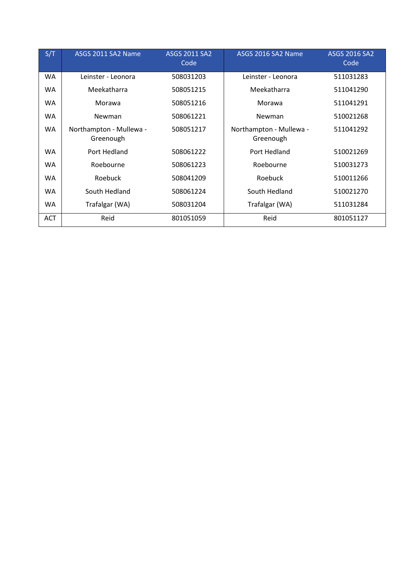| S/T        | ASGS 2011 SA2 Name                   | <b>ASGS 2011 SA2</b><br>Code | ASGS 2016 SA2 Name                   | ASGS 2016 SA2<br>Code |
|------------|--------------------------------------|------------------------------|--------------------------------------|-----------------------|
| WA         | Leinster - Leonora                   | 508031203                    | Leinster - Leonora                   | 511031283             |
| WA         | Meekatharra                          | 508051215                    | Meekatharra                          | 511041290             |
| WA         | Morawa                               | 508051216                    | Morawa                               | 511041291             |
| WA         | Newman                               | 508061221                    | Newman                               | 510021268             |
| WA         | Northampton - Mullewa -<br>Greenough | 508051217                    | Northampton - Mullewa -<br>Greenough | 511041292             |
| <b>WA</b>  | Port Hedland                         | 508061222                    | Port Hedland                         | 510021269             |
| WA         | Roebourne                            | 508061223                    | Roebourne                            | 510031273             |
| WA         | Roebuck                              | 508041209                    | Roebuck                              | 510011266             |
| <b>WA</b>  | South Hedland                        | 508061224                    | South Hedland                        | 510021270             |
| WA         | Trafalgar (WA)                       | 508031204                    | Trafalgar (WA)                       | 511031284             |
| <b>ACT</b> | Reid                                 | 801051059                    | Reid                                 | 801051127             |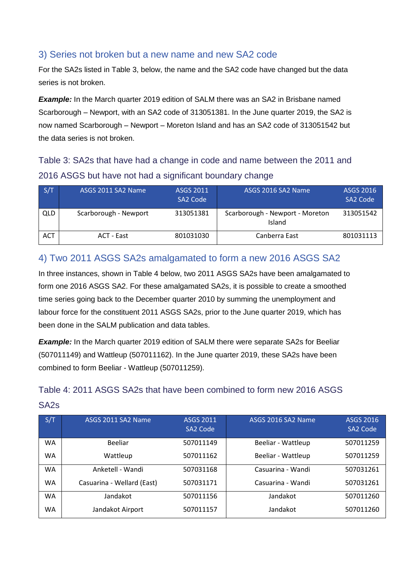#### <span id="page-6-0"></span>3) Series not broken but a new name and new SA2 code

For the SA2s listed in Table 3, below, the name and the SA2 code have changed but the data series is not broken.

**Example:** In the March quarter 2019 edition of SALM there was an SA2 in Brisbane named Scarborough – Newport, with an SA2 code of 313051381. In the June quarter 2019, the SA2 is now named Scarborough – Newport – Moreton Island and has an SA2 code of 313051542 but the data series is not broken.

Table 3: SA2s that have had a change in code and name between the 2011 and 2016 ASGS but have not had a significant boundary change

| S/T        | ASGS 2011 SA2 Name    | <b>ASGS 2011</b><br>SA2 Code | ASGS 2016 SA2 Name                        | ASGS 2016<br>SA2 Code |
|------------|-----------------------|------------------------------|-------------------------------------------|-----------------------|
| <b>QLD</b> | Scarborough - Newport | 313051381                    | Scarborough - Newport - Moreton<br>Island | 313051542             |
| <b>ACT</b> | ACT - East            | 801031030                    | Canberra East                             | 801031113             |

### <span id="page-6-1"></span>4) Two 2011 ASGS SA2s amalgamated to form a new 2016 ASGS SA2

In three instances, shown in Table 4 below, two 2011 ASGS SA2s have been amalgamated to form one 2016 ASGS SA2. For these amalgamated SA2s, it is possible to create a smoothed time series going back to the December quarter 2010 by summing the unemployment and labour force for the constituent 2011 ASGS SA2s, prior to the June quarter 2019, which has been done in the SALM publication and data tables.

**Example:** In the March quarter 2019 edition of SALM there were separate SA2s for Beeliar (507011149) and Wattleup (507011162). In the June quarter 2019, these SA2s have been combined to form Beeliar - Wattleup (507011259).

## Table 4: 2011 ASGS SA2s that have been combined to form new 2016 ASGS SA2s

| S/T       | ASGS 2011 SA2 Name         | <b>ASGS 2011</b><br>SA2 Code | ASGS 2016 SA2 Name | <b>ASGS 2016</b><br>SA2 Code |
|-----------|----------------------------|------------------------------|--------------------|------------------------------|
| <b>WA</b> | Beeliar                    | 507011149                    | Beeliar - Wattleup | 507011259                    |
| <b>WA</b> | Wattleup                   | 507011162                    | Beeliar - Wattleup | 507011259                    |
| <b>WA</b> | Anketell - Wandi           | 507031168                    | Casuarina - Wandi  | 507031261                    |
| <b>WA</b> | Casuarina - Wellard (East) | 507031171                    | Casuarina - Wandi  | 507031261                    |
| <b>WA</b> | Jandakot                   | 507011156                    | Jandakot           | 507011260                    |
| WA        | Jandakot Airport           | 507011157                    | Jandakot           | 507011260                    |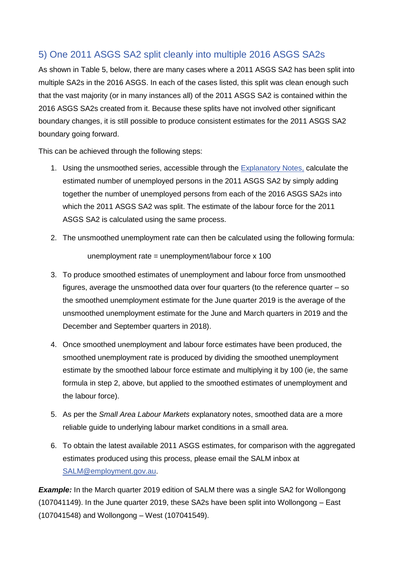### <span id="page-7-0"></span>5) One 2011 ASGS SA2 split cleanly into multiple 2016 ASGS SA2s

As shown in Table 5, below, there are many cases where a 2011 ASGS SA2 has been split into multiple SA2s in the 2016 ASGS. In each of the cases listed, this split was clean enough such that the vast majority (or in many instances all) of the 2011 ASGS SA2 is contained within the 2016 ASGS SA2s created from it. Because these splits have not involved other significant boundary changes, it is still possible to produce consistent estimates for the 2011 ASGS SA2 boundary going forward.

This can be achieved through the following steps:

- 1. Using the unsmoothed series, accessible through the [Explanatory Notes,](https://www.employment.gov.au/small-area-labour-markets-publication-explanatory-notes) calculate the estimated number of unemployed persons in the 2011 ASGS SA2 by simply adding together the number of unemployed persons from each of the 2016 ASGS SA2s into which the 2011 ASGS SA2 was split. The estimate of the labour force for the 2011 ASGS SA2 is calculated using the same process.
- 2. The unsmoothed unemployment rate can then be calculated using the following formula: unemployment rate = unemployment/labour force  $x$  100
- 3. To produce smoothed estimates of unemployment and labour force from unsmoothed figures, average the unsmoothed data over four quarters (to the reference quarter – so the smoothed unemployment estimate for the June quarter 2019 is the average of the unsmoothed unemployment estimate for the June and March quarters in 2019 and the December and September quarters in 2018).
- 4. Once smoothed unemployment and labour force estimates have been produced, the smoothed unemployment rate is produced by dividing the smoothed unemployment estimate by the smoothed labour force estimate and multiplying it by 100 (ie, the same formula in step 2, above, but applied to the smoothed estimates of unemployment and the labour force).
- 5. As per the *Small Area Labour Markets* explanatory notes, smoothed data are a more reliable guide to underlying labour market conditions in a small area.
- 6. To obtain the latest available 2011 ASGS estimates, for comparison with the aggregated estimates produced using this process, please email the SALM inbox at [SALM@employment.gov.au.](mailto:SALM@employment.gov.au)

*Example:* In the March quarter 2019 edition of SALM there was a single SA2 for Wollongong (107041149). In the June quarter 2019, these SA2s have been split into Wollongong – East (107041548) and Wollongong – West (107041549).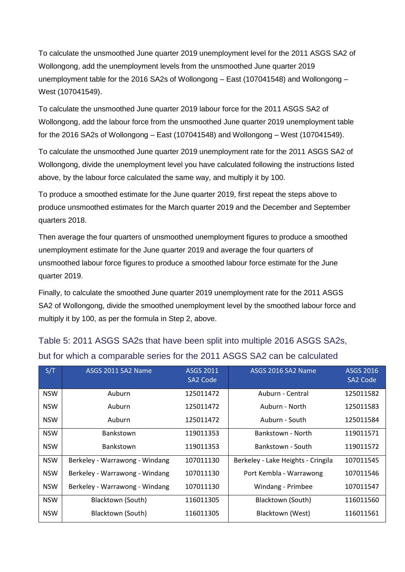To calculate the unsmoothed June quarter 2019 unemployment level for the 2011 ASGS SA2 of Wollongong, add the unemployment levels from the unsmoothed June quarter 2019 unemployment table for the 2016 SA2s of Wollongong – East (107041548) and Wollongong – West (107041549).

To calculate the unsmoothed June quarter 2019 labour force for the 2011 ASGS SA2 of Wollongong, add the labour force from the unsmoothed June quarter 2019 unemployment table for the 2016 SA2s of Wollongong – East (107041548) and Wollongong – West (107041549).

To calculate the unsmoothed June quarter 2019 unemployment rate for the 2011 ASGS SA2 of Wollongong, divide the unemployment level you have calculated following the instructions listed above, by the labour force calculated the same way, and multiply it by 100.

To produce a smoothed estimate for the June quarter 2019, first repeat the steps above to produce unsmoothed estimates for the March quarter 2019 and the December and September quarters 2018.

Then average the four quarters of unsmoothed unemployment figures to produce a smoothed unemployment estimate for the June quarter 2019 and average the four quarters of unsmoothed labour force figures to produce a smoothed labour force estimate for the June quarter 2019.

Finally, to calculate the smoothed June quarter 2019 unemployment rate for the 2011 ASGS SA2 of Wollongong, divide the smoothed unemployment level by the smoothed labour force and multiply it by 100, as per the formula in Step 2, above.

| S/T        | ASGS 2011 SA2 Name             | ASGS 2011<br><b>SA2 Code</b> | ASGS 2016 SA2 Name                 | <b>ASGS 2016</b><br>SA2 Code |
|------------|--------------------------------|------------------------------|------------------------------------|------------------------------|
| <b>NSW</b> | Auburn                         | 125011472                    | Auburn - Central                   | 125011582                    |
| <b>NSW</b> | Auburn                         | 125011472                    | Auburn - North                     | 125011583                    |
| <b>NSW</b> | Auburn                         | 125011472                    | Auburn - South                     | 125011584                    |
| <b>NSW</b> | <b>Bankstown</b>               | 119011353                    | Bankstown - North                  | 119011571                    |
| <b>NSW</b> | <b>Bankstown</b>               | 119011353                    | Bankstown - South                  | 119011572                    |
| <b>NSW</b> | Berkeley - Warrawong - Windang | 107011130                    | Berkeley - Lake Heights - Cringila | 107011545                    |
| <b>NSW</b> | Berkeley - Warrawong - Windang | 107011130                    | Port Kembla - Warrawong            | 107011546                    |
| <b>NSW</b> | Berkeley - Warrawong - Windang | 107011130                    | Windang - Primbee                  | 107011547                    |
| <b>NSW</b> | Blacktown (South)              | 116011305                    | Blacktown (South)                  | 116011560                    |
| <b>NSW</b> | Blacktown (South)              | 116011305                    | Blacktown (West)                   | 116011561                    |

# Table 5: 2011 ASGS SA2s that have been split into multiple 2016 ASGS SA2s, but for which a comparable series for the 2011 ASGS SA2 can be calculated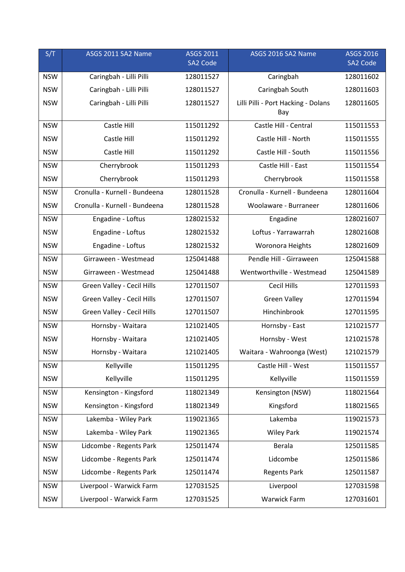| S/T        | ASGS 2011 SA2 Name            | <b>ASGS 2011</b><br>SA2 Code | ASGS 2016 SA2 Name                         | <b>ASGS 2016</b><br>SA2 Code |
|------------|-------------------------------|------------------------------|--------------------------------------------|------------------------------|
| <b>NSW</b> | Caringbah - Lilli Pilli       | 128011527                    | Caringbah                                  | 128011602                    |
| <b>NSW</b> | Caringbah - Lilli Pilli       | 128011527                    | Caringbah South                            | 128011603                    |
| <b>NSW</b> | Caringbah - Lilli Pilli       | 128011527                    | Lilli Pilli - Port Hacking - Dolans<br>Bay | 128011605                    |
| <b>NSW</b> | Castle Hill                   | 115011292                    | Castle Hill - Central                      | 115011553                    |
| <b>NSW</b> | Castle Hill                   | 115011292                    | Castle Hill - North                        | 115011555                    |
| <b>NSW</b> | Castle Hill                   | 115011292                    | Castle Hill - South                        | 115011556                    |
| <b>NSW</b> | Cherrybrook                   | 115011293                    | Castle Hill - East                         | 115011554                    |
| <b>NSW</b> | Cherrybrook                   | 115011293                    | Cherrybrook                                | 115011558                    |
| <b>NSW</b> | Cronulla - Kurnell - Bundeena | 128011528                    | Cronulla - Kurnell - Bundeena              | 128011604                    |
| <b>NSW</b> | Cronulla - Kurnell - Bundeena | 128011528                    | Woolaware - Burraneer                      | 128011606                    |
| <b>NSW</b> | Engadine - Loftus             | 128021532                    | Engadine                                   | 128021607                    |
| <b>NSW</b> | Engadine - Loftus             | 128021532                    | Loftus - Yarrawarrah                       | 128021608                    |
| <b>NSW</b> | Engadine - Loftus             | 128021532                    | Woronora Heights                           | 128021609                    |
| <b>NSW</b> | Girraween - Westmead          | 125041488                    | Pendle Hill - Girraween                    | 125041588                    |
| <b>NSW</b> | Girraween - Westmead          | 125041488                    | Wentworthville - Westmead                  | 125041589                    |
| <b>NSW</b> | Green Valley - Cecil Hills    | 127011507                    | <b>Cecil Hills</b>                         | 127011593                    |
| <b>NSW</b> | Green Valley - Cecil Hills    | 127011507                    | <b>Green Valley</b>                        | 127011594                    |
| <b>NSW</b> | Green Valley - Cecil Hills    | 127011507                    | Hinchinbrook                               | 127011595                    |
| <b>NSW</b> | Hornsby - Waitara             | 121021405                    | Hornsby - East                             | 121021577                    |
| <b>NSW</b> | Hornsby - Waitara             | 121021405                    | Hornsby - West                             | 121021578                    |
| <b>NSW</b> | Hornsby - Waitara             | 121021405                    | Waitara - Wahroonga (West)                 | 121021579                    |
| <b>NSW</b> | Kellyville                    | 115011295                    | Castle Hill - West                         | 115011557                    |
| <b>NSW</b> | Kellyville                    | 115011295                    | Kellyville                                 | 115011559                    |
| <b>NSW</b> | Kensington - Kingsford        | 118021349                    | Kensington (NSW)                           | 118021564                    |
| <b>NSW</b> | Kensington - Kingsford        | 118021349                    | Kingsford                                  | 118021565                    |
| <b>NSW</b> | Lakemba - Wiley Park          | 119021365                    | Lakemba                                    | 119021573                    |
| <b>NSW</b> | Lakemba - Wiley Park          | 119021365                    | <b>Wiley Park</b>                          | 119021574                    |
| <b>NSW</b> | Lidcombe - Regents Park       | 125011474                    | Berala                                     | 125011585                    |
| <b>NSW</b> | Lidcombe - Regents Park       | 125011474                    | Lidcombe                                   | 125011586                    |
| <b>NSW</b> | Lidcombe - Regents Park       | 125011474                    | <b>Regents Park</b>                        | 125011587                    |
| <b>NSW</b> | Liverpool - Warwick Farm      | 127031525                    | Liverpool                                  | 127031598                    |
| <b>NSW</b> | Liverpool - Warwick Farm      | 127031525                    | <b>Warwick Farm</b>                        | 127031601                    |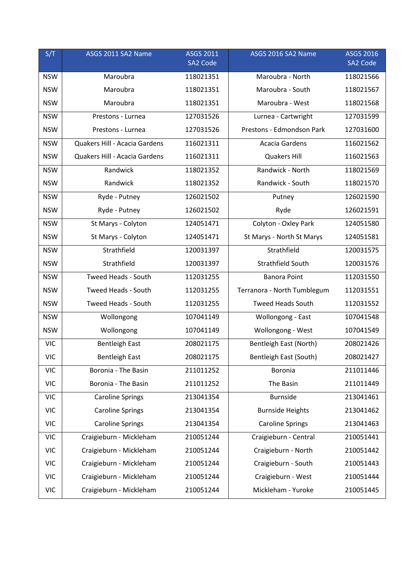| S/T        | ASGS 2011 SA2 Name            | <b>ASGS 2011</b><br>SA2 Code | ASGS 2016 SA2 Name          | <b>ASGS 2016</b><br>SA2 Code |
|------------|-------------------------------|------------------------------|-----------------------------|------------------------------|
| <b>NSW</b> | Maroubra                      | 118021351                    | Maroubra - North            | 118021566                    |
| <b>NSW</b> | Maroubra                      | 118021351                    | Maroubra - South            | 118021567                    |
| <b>NSW</b> | Maroubra                      | 118021351                    | Maroubra - West             | 118021568                    |
| <b>NSW</b> | Prestons - Lurnea             | 127031526                    | Lurnea - Cartwright         | 127031599                    |
| <b>NSW</b> | Prestons - Lurnea             | 127031526                    | Prestons - Edmondson Park   | 127031600                    |
| <b>NSW</b> | Quakers Hill - Acacia Gardens | 116021311                    | <b>Acacia Gardens</b>       | 116021562                    |
| <b>NSW</b> | Quakers Hill - Acacia Gardens | 116021311                    | <b>Quakers Hill</b>         | 116021563                    |
| <b>NSW</b> | Randwick                      | 118021352                    | Randwick - North            | 118021569                    |
| <b>NSW</b> | Randwick                      | 118021352                    | Randwick - South            | 118021570                    |
| <b>NSW</b> | Ryde - Putney                 | 126021502                    | Putney                      | 126021590                    |
| <b>NSW</b> | Ryde - Putney                 | 126021502                    | Ryde                        | 126021591                    |
| <b>NSW</b> | St Marys - Colyton            | 124051471                    | Colyton - Oxley Park        | 124051580                    |
| <b>NSW</b> | St Marys - Colyton            | 124051471                    | St Marys - North St Marys   | 124051581                    |
| <b>NSW</b> | Strathfield                   | 120031397                    | Strathfield                 | 120031575                    |
| <b>NSW</b> | Strathfield                   | 120031397                    | Strathfield South           | 120031576                    |
| <b>NSW</b> | Tweed Heads - South           | 112031255                    | <b>Banora Point</b>         | 112031550                    |
| <b>NSW</b> | Tweed Heads - South           | 112031255                    | Terranora - North Tumblegum | 112031551                    |
| <b>NSW</b> | <b>Tweed Heads - South</b>    | 112031255                    | <b>Tweed Heads South</b>    | 112031552                    |
| <b>NSW</b> | Wollongong                    | 107041149                    | Wollongong - East           | 107041548                    |
| <b>NSW</b> | Wollongong                    | 107041149                    | Wollongong - West           | 107041549                    |
| <b>VIC</b> | <b>Bentleigh East</b>         | 208021175                    | Bentleigh East (North)      | 208021426                    |
| <b>VIC</b> | <b>Bentleigh East</b>         | 208021175                    | Bentleigh East (South)      | 208021427                    |
| <b>VIC</b> | Boronia - The Basin           | 211011252                    | Boronia                     | 211011446                    |
| <b>VIC</b> | Boronia - The Basin           | 211011252                    | The Basin                   | 211011449                    |
| <b>VIC</b> | <b>Caroline Springs</b>       | 213041354                    | <b>Burnside</b>             | 213041461                    |
| <b>VIC</b> | <b>Caroline Springs</b>       | 213041354                    | <b>Burnside Heights</b>     | 213041462                    |
| <b>VIC</b> | <b>Caroline Springs</b>       | 213041354                    | <b>Caroline Springs</b>     | 213041463                    |
| <b>VIC</b> | Craigieburn - Mickleham       | 210051244                    | Craigieburn - Central       | 210051441                    |
| <b>VIC</b> | Craigieburn - Mickleham       | 210051244                    | Craigieburn - North         | 210051442                    |
| <b>VIC</b> | Craigieburn - Mickleham       | 210051244                    | Craigieburn - South         | 210051443                    |
| <b>VIC</b> | Craigieburn - Mickleham       | 210051244                    | Craigieburn - West          | 210051444                    |
| <b>VIC</b> | Craigieburn - Mickleham       | 210051244                    | Mickleham - Yuroke          | 210051445                    |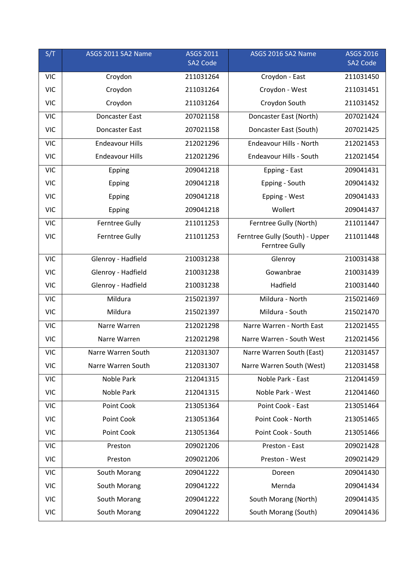| S/T        | ASGS 2011 SA2 Name     | <b>ASGS 2011</b><br>SA2 Code | ASGS 2016 SA2 Name                                      | <b>ASGS 2016</b><br>SA2 Code |
|------------|------------------------|------------------------------|---------------------------------------------------------|------------------------------|
| <b>VIC</b> | Croydon                | 211031264                    | Croydon - East                                          | 211031450                    |
| <b>VIC</b> | Croydon                | 211031264                    | Croydon - West                                          | 211031451                    |
| <b>VIC</b> | Croydon                | 211031264                    | Croydon South                                           | 211031452                    |
| <b>VIC</b> | <b>Doncaster East</b>  | 207021158                    | Doncaster East (North)                                  | 207021424                    |
| <b>VIC</b> | <b>Doncaster East</b>  | 207021158                    | Doncaster East (South)                                  | 207021425                    |
| <b>VIC</b> | <b>Endeavour Hills</b> | 212021296                    | Endeavour Hills - North                                 | 212021453                    |
| <b>VIC</b> | <b>Endeavour Hills</b> | 212021296                    | Endeavour Hills - South                                 | 212021454                    |
| <b>VIC</b> | Epping                 | 209041218                    | Epping - East                                           | 209041431                    |
| <b>VIC</b> | Epping                 | 209041218                    | Epping - South                                          | 209041432                    |
| <b>VIC</b> | Epping                 | 209041218                    | Epping - West                                           | 209041433                    |
| <b>VIC</b> | Epping                 | 209041218                    | Wollert                                                 | 209041437                    |
| <b>VIC</b> | <b>Ferntree Gully</b>  | 211011253                    | Ferntree Gully (North)                                  | 211011447                    |
| <b>VIC</b> | <b>Ferntree Gully</b>  | 211011253                    | Ferntree Gully (South) - Upper<br><b>Ferntree Gully</b> | 211011448                    |
| <b>VIC</b> | Glenroy - Hadfield     | 210031238                    | Glenroy                                                 | 210031438                    |
| <b>VIC</b> | Glenroy - Hadfield     | 210031238                    | Gowanbrae                                               | 210031439                    |
| <b>VIC</b> | Glenroy - Hadfield     | 210031238                    | Hadfield                                                | 210031440                    |
| <b>VIC</b> | Mildura                | 215021397                    | Mildura - North                                         | 215021469                    |
| <b>VIC</b> | Mildura                | 215021397                    | Mildura - South                                         | 215021470                    |
| <b>VIC</b> | Narre Warren           | 212021298                    | Narre Warren - North East                               | 212021455                    |
| <b>VIC</b> | Narre Warren           | 212021298                    | Narre Warren - South West                               | 212021456                    |
| <b>VIC</b> | Narre Warren South     | 212031307                    | Narre Warren South (East)                               | 212031457                    |
| <b>VIC</b> | Narre Warren South     | 212031307                    | Narre Warren South (West)                               | 212031458                    |
| <b>VIC</b> | Noble Park             | 212041315                    | Noble Park - East                                       | 212041459                    |
| <b>VIC</b> | Noble Park             | 212041315                    | Noble Park - West                                       | 212041460                    |
| <b>VIC</b> | Point Cook             | 213051364                    | Point Cook - East                                       | 213051464                    |
| <b>VIC</b> | Point Cook             | 213051364                    | Point Cook - North                                      | 213051465                    |
| <b>VIC</b> | Point Cook             | 213051364                    | Point Cook - South                                      | 213051466                    |
| <b>VIC</b> | Preston                | 209021206                    | Preston - East                                          | 209021428                    |
| <b>VIC</b> | Preston                | 209021206                    | Preston - West                                          | 209021429                    |
| <b>VIC</b> | South Morang           | 209041222                    | Doreen                                                  | 209041430                    |
| <b>VIC</b> | South Morang           | 209041222                    | Mernda                                                  | 209041434                    |
| <b>VIC</b> | South Morang           | 209041222                    | South Morang (North)                                    | 209041435                    |
| <b>VIC</b> | South Morang           | 209041222                    | South Morang (South)                                    | 209041436                    |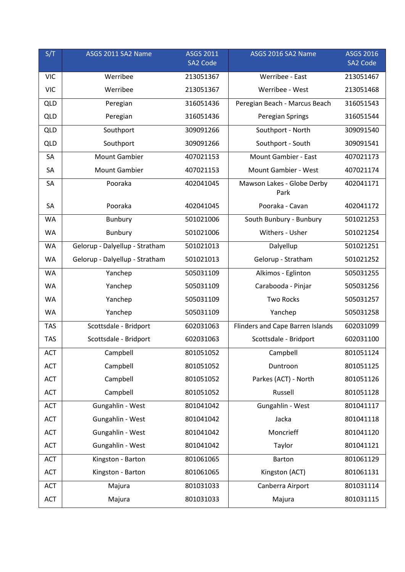| S/T        | ASGS 2011 SA2 Name             | <b>ASGS 2011</b> | ASGS 2016 SA2 Name                 | <b>ASGS 2016</b> |
|------------|--------------------------------|------------------|------------------------------------|------------------|
|            |                                | SA2 Code         |                                    | SA2 Code         |
| <b>VIC</b> | Werribee                       | 213051367        | Werribee - East                    | 213051467        |
| <b>VIC</b> | Werribee                       | 213051367        | Werribee - West                    | 213051468        |
| <b>QLD</b> | Peregian                       | 316051436        | Peregian Beach - Marcus Beach      | 316051543        |
| <b>QLD</b> | Peregian                       | 316051436        | Peregian Springs                   | 316051544        |
| <b>QLD</b> | Southport                      | 309091266        | Southport - North                  | 309091540        |
| <b>QLD</b> | Southport                      | 309091266        | Southport - South                  | 309091541        |
| SA         | <b>Mount Gambier</b>           | 407021153        | Mount Gambier - East               | 407021173        |
| SA         | <b>Mount Gambier</b>           | 407021153        | Mount Gambier - West               | 407021174        |
| SA         | Pooraka                        | 402041045        | Mawson Lakes - Globe Derby<br>Park | 402041171        |
| SA         | Pooraka                        | 402041045        | Pooraka - Cavan                    | 402041172        |
| <b>WA</b>  | Bunbury                        | 501021006        | South Bunbury - Bunbury            | 501021253        |
| WA         | <b>Bunbury</b>                 | 501021006        | Withers - Usher                    | 501021254        |
| <b>WA</b>  | Gelorup - Dalyellup - Stratham | 501021013        | Dalyellup                          | 501021251        |
| <b>WA</b>  | Gelorup - Dalyellup - Stratham | 501021013        | Gelorup - Stratham                 | 501021252        |
| WA         | Yanchep                        | 505031109        | Alkimos - Eglinton                 | 505031255        |
| <b>WA</b>  | Yanchep                        | 505031109        | Carabooda - Pinjar                 | 505031256        |
| WA         | Yanchep                        | 505031109        | <b>Two Rocks</b>                   | 505031257        |
| WA         | Yanchep                        | 505031109        | Yanchep                            | 505031258        |
| <b>TAS</b> | Scottsdale - Bridport          | 602031063        | Flinders and Cape Barren Islands   | 602031099        |
| <b>TAS</b> | Scottsdale - Bridport          | 602031063        | Scottsdale - Bridport              | 602031100        |
| <b>ACT</b> | Campbell                       | 801051052        | Campbell                           | 801051124        |
| <b>ACT</b> | Campbell                       | 801051052        | Duntroon                           | 801051125        |
| <b>ACT</b> | Campbell                       | 801051052        | Parkes (ACT) - North               | 801051126        |
| <b>ACT</b> | Campbell                       | 801051052        | Russell                            | 801051128        |
| <b>ACT</b> | Gungahlin - West               | 801041042        | Gungahlin - West                   | 801041117        |
| ACT        | Gungahlin - West               | 801041042        | Jacka                              | 801041118        |
| <b>ACT</b> | Gungahlin - West               | 801041042        | Moncrieff                          | 801041120        |
| <b>ACT</b> | Gungahlin - West               | 801041042        | Taylor                             | 801041121        |
| <b>ACT</b> | Kingston - Barton              | 801061065        | Barton                             | 801061129        |
| <b>ACT</b> | Kingston - Barton              | 801061065        | Kingston (ACT)                     | 801061131        |
| <b>ACT</b> | Majura                         | 801031033        | Canberra Airport                   | 801031114        |
| <b>ACT</b> | Majura                         | 801031033        | Majura                             | 801031115        |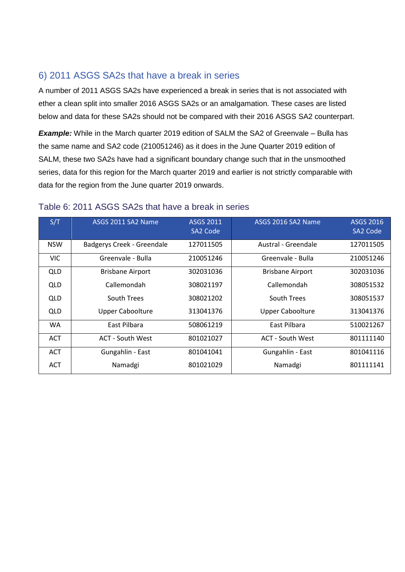### <span id="page-13-0"></span>6) 2011 ASGS SA2s that have a break in series

A number of 2011 ASGS SA2s have experienced a break in series that is not associated with ether a clean split into smaller 2016 ASGS SA2s or an amalgamation. These cases are listed below and data for these SA2s should not be compared with their 2016 ASGS SA2 counterpart.

**Example:** While in the March quarter 2019 edition of SALM the SA2 of Greenvale – Bulla has the same name and SA2 code (210051246) as it does in the June Quarter 2019 edition of SALM, these two SA2s have had a significant boundary change such that in the unsmoothed series, data for this region for the March quarter 2019 and earlier is not strictly comparable with data for the region from the June quarter 2019 onwards.

| S/T        | ASGS 2011 SA2 Name         | <b>ASGS 2011</b><br>SA2 Code | ASGS 2016 SA2 Name      | <b>ASGS 2016</b><br>SA2 Code |
|------------|----------------------------|------------------------------|-------------------------|------------------------------|
| <b>NSW</b> | Badgerys Creek - Greendale | 127011505                    | Austral - Greendale     | 127011505                    |
| <b>VIC</b> | Greenvale - Bulla          | 210051246                    | Greenvale - Bulla       | 210051246                    |
| <b>QLD</b> | <b>Brisbane Airport</b>    | 302031036                    | <b>Brisbane Airport</b> | 302031036                    |
| QLD        | Callemondah                | 308021197                    | Callemondah             | 308051532                    |
| QLD        | South Trees                | 308021202                    | South Trees             | 308051537                    |
| QLD        | <b>Upper Caboolture</b>    | 313041376                    | <b>Upper Caboolture</b> | 313041376                    |
| <b>WA</b>  | <b>Fast Pilbara</b>        | 508061219                    | East Pilbara            | 510021267                    |
| <b>ACT</b> | ACT - South West           | 801021027                    | ACT - South West        | 801111140                    |
| <b>ACT</b> | Gungahlin - East           | 801041041                    | Gungahlin - East        | 801041116                    |
| <b>ACT</b> | Namadgi                    | 801021029                    | Namadgi                 | 801111141                    |

#### Table 6: 2011 ASGS SA2s that have a break in series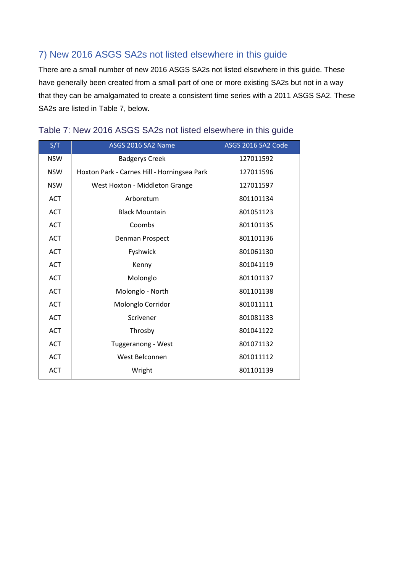## <span id="page-14-0"></span>7) New 2016 ASGS SA2s not listed elsewhere in this guide

There are a small number of new 2016 ASGS SA2s not listed elsewhere in this guide. These have generally been created from a small part of one or more existing SA2s but not in a way that they can be amalgamated to create a consistent time series with a 2011 ASGS SA2. These SA2s are listed in Table 7, below.

| S/T        | ASGS 2016 SA2 Name                          | ASGS 2016 SA2 Code |
|------------|---------------------------------------------|--------------------|
| <b>NSW</b> | <b>Badgerys Creek</b>                       | 127011592          |
| <b>NSW</b> | Hoxton Park - Carnes Hill - Horningsea Park | 127011596          |
| <b>NSW</b> | West Hoxton - Middleton Grange              | 127011597          |
| <b>ACT</b> | Arboretum                                   | 801101134          |
| <b>ACT</b> | <b>Black Mountain</b>                       | 801051123          |
| <b>ACT</b> | Coombs                                      | 801101135          |
| <b>ACT</b> | Denman Prospect                             | 801101136          |
| <b>ACT</b> | Fyshwick                                    | 801061130          |
| <b>ACT</b> | Kenny                                       | 801041119          |
| <b>ACT</b> | Molonglo                                    | 801101137          |
| <b>ACT</b> | Molonglo - North                            | 801101138          |
| <b>ACT</b> | Molonglo Corridor                           | 801011111          |
| <b>ACT</b> | Scrivener                                   | 801081133          |
| <b>ACT</b> | Throsby                                     | 801041122          |
| <b>ACT</b> | Tuggeranong - West                          | 801071132          |
| <b>ACT</b> | West Belconnen                              | 801011112          |
| <b>ACT</b> | Wright                                      | 801101139          |

#### Table 7: New 2016 ASGS SA2s not listed elsewhere in this guide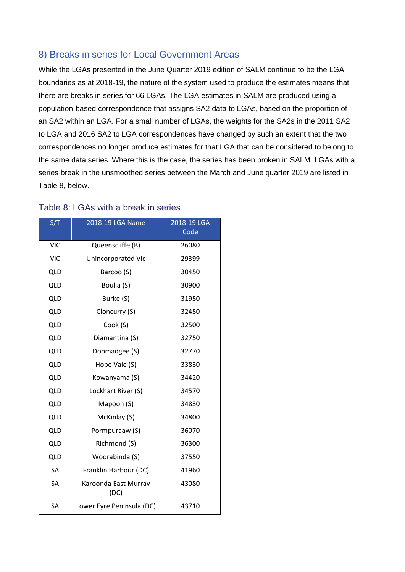#### <span id="page-15-0"></span>8) Breaks in series for Local Government Areas

While the LGAs presented in the June Quarter 2019 edition of SALM continue to be the LGA boundaries as at 2018-19, the nature of the system used to produce the estimates means that there are breaks in series for 66 LGAs. The LGA estimates in SALM are produced using a population-based correspondence that assigns SA2 data to LGAs, based on the proportion of an SA2 within an LGA. For a small number of LGAs, the weights for the SA2s in the 2011 SA2 to LGA and 2016 SA2 to LGA correspondences have changed by such an extent that the two correspondences no longer produce estimates for that LGA that can be considered to belong to the same data series. Where this is the case, the series has been broken in SALM. LGAs with a series break in the unsmoothed series between the March and June quarter 2019 are listed in Table 8, below.

| S/T        | 2018-19 LGA Name             | 2018-19 LGA<br>Code |
|------------|------------------------------|---------------------|
| <b>VIC</b> | Queenscliffe (B)             | 26080               |
| <b>VIC</b> | Unincorporated Vic           | 29399               |
| <b>QLD</b> | Barcoo (S)                   | 30450               |
| <b>QLD</b> | Boulia (S)                   | 30900               |
| <b>QLD</b> | Burke (S)                    | 31950               |
| <b>QLD</b> | Cloncurry (S)                | 32450               |
| <b>QLD</b> | Cook (S)                     | 32500               |
| <b>QLD</b> | Diamantina (S)               | 32750               |
| <b>QLD</b> | Doomadgee (S)                | 32770               |
| <b>QLD</b> | Hope Vale (S)                | 33830               |
| <b>QLD</b> | Kowanyama (S)                | 34420               |
| <b>QLD</b> | Lockhart River (S)           | 34570               |
| <b>QLD</b> | Mapoon (S)                   | 34830               |
| <b>QLD</b> | McKinlay (S)                 | 34800               |
| <b>QLD</b> | Pormpuraaw (S)               | 36070               |
| <b>QLD</b> | Richmond (S)                 | 36300               |
| <b>QLD</b> | Woorabinda (S)               | 37550               |
| SA         | Franklin Harbour (DC)        | 41960               |
| SA         | Karoonda East Murray<br>(DC) | 43080               |
| SA         | Lower Eyre Peninsula (DC)    | 43710               |

#### Table 8: LGAs with a break in series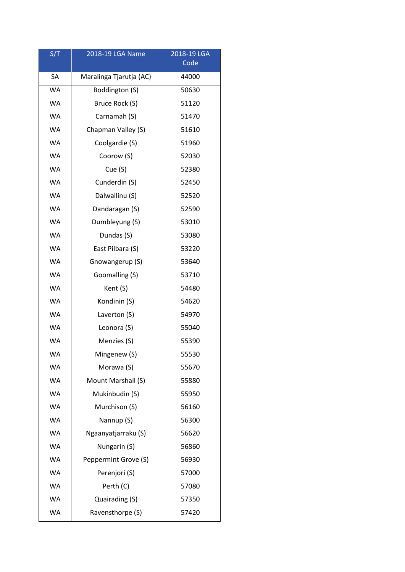| S/T       | 2018-19 LGA Name        | 2018-19 LGA<br>Code |
|-----------|-------------------------|---------------------|
| SA        | Maralinga Tjarutja (AC) | 44000               |
| <b>WA</b> | Boddington (S)          | 50630               |
| <b>WA</b> | Bruce Rock (S)          | 51120               |
| <b>WA</b> | Carnamah (S)            | 51470               |
| <b>WA</b> | Chapman Valley (S)      | 51610               |
| <b>WA</b> | Coolgardie (S)          | 51960               |
| <b>WA</b> | Coorow (S)              | 52030               |
| <b>WA</b> | Cue (S)                 | 52380               |
| <b>WA</b> | Cunderdin (S)           | 52450               |
| <b>WA</b> | Dalwallinu (S)          | 52520               |
| <b>WA</b> | Dandaragan (S)          | 52590               |
| <b>WA</b> | Dumbleyung (S)          | 53010               |
| <b>WA</b> | Dundas (S)              | 53080               |
| <b>WA</b> | East Pilbara (S)        | 53220               |
| <b>WA</b> | Gnowangerup (S)         | 53640               |
| <b>WA</b> | Goomalling (S)          | 53710               |
| <b>WA</b> | Kent (S)                | 54480               |
| <b>WA</b> | Kondinin (S)            | 54620               |
| <b>WA</b> | Laverton (S)            | 54970               |
| <b>WA</b> | Leonora (S)             | 55040               |
| <b>WA</b> | Menzies (S)             | 55390               |
| WA        | Mingenew (S)            | 55530               |
| <b>WA</b> | Morawa (S)              | 55670               |
| <b>WA</b> | Mount Marshall (S)      | 55880               |
| <b>WA</b> | Mukinbudin (S)          | 55950               |
| <b>WA</b> | Murchison (S)           | 56160               |
| <b>WA</b> | Nannup (S)              | 56300               |
| <b>WA</b> | Ngaanyatjarraku (S)     | 56620               |
| <b>WA</b> | Nungarin (S)            | 56860               |
| <b>WA</b> | Peppermint Grove (S)    | 56930               |
| <b>WA</b> | Perenjori (S)           | 57000               |
| <b>WA</b> | Perth (C)               | 57080               |
| <b>WA</b> | Quairading (S)          | 57350               |
| <b>WA</b> | Ravensthorpe (S)        | 57420               |